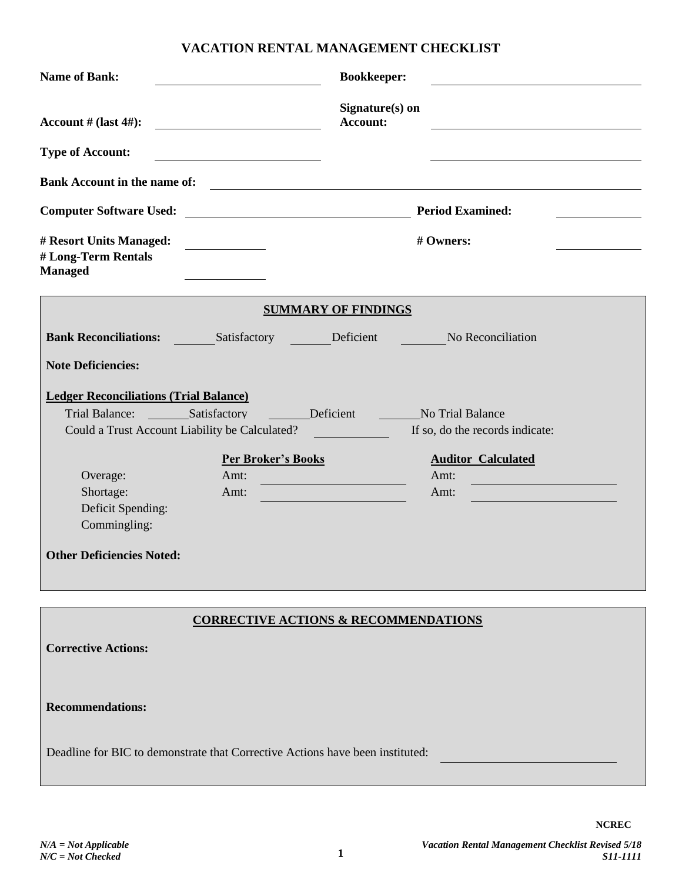## **VACATION RENTAL MANAGEMENT CHECKLIST**

| <b>Name of Bank:</b>                                                                                                                                        | <b>Bookkeeper:</b>                                                    |
|-------------------------------------------------------------------------------------------------------------------------------------------------------------|-----------------------------------------------------------------------|
| Account # $\textsf{(last 4#):}$<br><u> 1980 - Andrea Station Barbara, amerikan per</u>                                                                      | Signature(s) on<br>Account:                                           |
| <b>Type of Account:</b><br><u> 1989 - Johann Barbara, martin a</u>                                                                                          |                                                                       |
| <b>Bank Account in the name of:</b>                                                                                                                         | <u> 1989 - Johann Stein, fransk politiker (d. 1989)</u>               |
| <b>Computer Software Used:</b><br><u> 1980 - Johann Barn, mars ann an t-Amhain Aonaich an t-Aonaich an t-Aonaich ann an t-Aonaich ann an t-Aonaich</u>      | <b>Period Examined:</b>                                               |
| # Resort Units Managed:<br># Long-Term Rentals<br><b>Managed</b>                                                                                            | # Owners:                                                             |
|                                                                                                                                                             | <b>SUMMARY OF FINDINGS</b>                                            |
| <b>Bank Reconciliations:</b> Satisfactory Deficient No Reconciliation                                                                                       |                                                                       |
| <b>Note Deficiencies:</b>                                                                                                                                   |                                                                       |
| <b>Ledger Reconciliations (Trial Balance)</b><br>Trial Balance: Satisfactory<br><b>Exercise Deficient</b><br>Could a Trust Account Liability be Calculated? | <b>Example 21 No Trial Balance</b><br>If so, do the records indicate: |
| <b>Per Broker's Books</b><br>Overage:<br>Amt:<br>Shortage:<br>Amt:<br>Deficit Spending:<br>Commingling:<br><b>Other Deficiencies Noted:</b>                 | <b>Auditor Calculated</b><br>Amt:<br>Amt:                             |
| <b>Corrective Actions:</b>                                                                                                                                  | <b>CORRECTIVE ACTIONS &amp; RECOMMENDATIONS</b>                       |
| <b>Recommendations:</b><br>Deadline for BIC to demonstrate that Corrective Actions have been instituted:                                                    |                                                                       |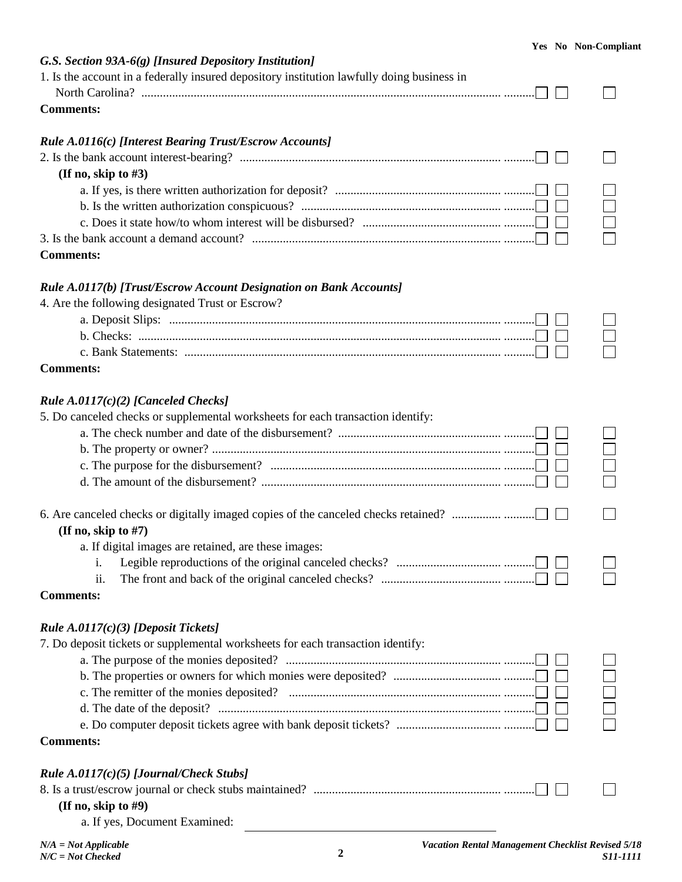| G.S. Section 93A-6(g) [Insured Depository Institution]                                                                                                   |  |
|----------------------------------------------------------------------------------------------------------------------------------------------------------|--|
| 1. Is the account in a federally insured depository institution lawfully doing business in                                                               |  |
|                                                                                                                                                          |  |
| <b>Comments:</b>                                                                                                                                         |  |
| Rule A.0116(c) [Interest Bearing Trust/Escrow Accounts]                                                                                                  |  |
|                                                                                                                                                          |  |
| (If no, skip to $#3$ )                                                                                                                                   |  |
|                                                                                                                                                          |  |
|                                                                                                                                                          |  |
|                                                                                                                                                          |  |
|                                                                                                                                                          |  |
| <b>Comments:</b>                                                                                                                                         |  |
| Rule A.0117(b) [Trust/Escrow Account Designation on Bank Accounts]                                                                                       |  |
| 4. Are the following designated Trust or Escrow?                                                                                                         |  |
| a. Deposit Slips: $\ldots$ $\ldots$ $\ldots$ $\ldots$ $\ldots$ $\ldots$ $\ldots$ $\ldots$ $\ldots$ $\ldots$ $\ldots$ $\ldots$ $\ldots$ $\ldots$ $\ldots$ |  |
|                                                                                                                                                          |  |
|                                                                                                                                                          |  |
| <b>Comments:</b>                                                                                                                                         |  |
| Rule $A.0117(c)(2)$ [Canceled Checks]                                                                                                                    |  |
| 5. Do canceled checks or supplemental worksheets for each transaction identify:                                                                          |  |
|                                                                                                                                                          |  |
|                                                                                                                                                          |  |
|                                                                                                                                                          |  |
|                                                                                                                                                          |  |
|                                                                                                                                                          |  |
| (If no, skip to $#7$ )                                                                                                                                   |  |
| a. If digital images are retained, are these images:                                                                                                     |  |
| i.                                                                                                                                                       |  |
| 11.                                                                                                                                                      |  |
| <b>Comments:</b>                                                                                                                                         |  |
| <i>Rule A.0117(c)(3) [Deposit Tickets]</i>                                                                                                               |  |
| 7. Do deposit tickets or supplemental worksheets for each transaction identify:                                                                          |  |
|                                                                                                                                                          |  |
|                                                                                                                                                          |  |
|                                                                                                                                                          |  |
|                                                                                                                                                          |  |
|                                                                                                                                                          |  |
| <b>Comments:</b>                                                                                                                                         |  |
| Rule $A.0117(c)(5)$ [Journal/Check Stubs]                                                                                                                |  |
|                                                                                                                                                          |  |
| (If no, skip to $#9$ )                                                                                                                                   |  |
| a. If yes, Document Examined:                                                                                                                            |  |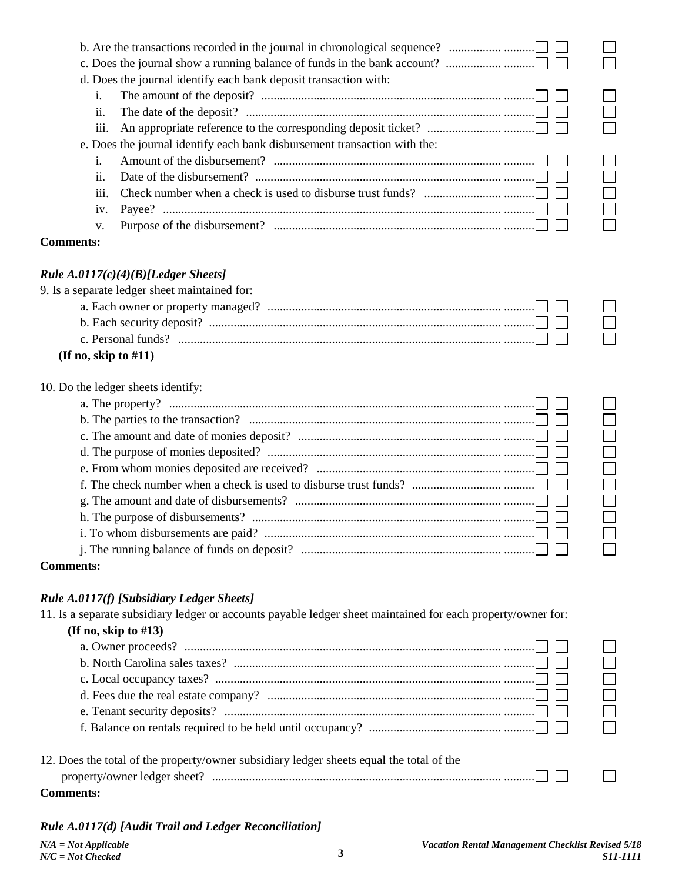|                  | d. Does the journal identify each bank deposit transaction with:                                                                                                                            |                |
|------------------|---------------------------------------------------------------------------------------------------------------------------------------------------------------------------------------------|----------------|
| i.               |                                                                                                                                                                                             |                |
| ii.              | The date of the deposit? $\ldots$ $\ldots$ $\ldots$ $\ldots$ $\ldots$ $\ldots$ $\ldots$ $\ldots$ $\ldots$ $\ldots$ $\ldots$ $\ldots$ $\ldots$ $\ldots$ $\ldots$                             |                |
| iii.             |                                                                                                                                                                                             |                |
|                  | e. Does the journal identify each bank disbursement transaction with the:                                                                                                                   |                |
| i.               |                                                                                                                                                                                             |                |
| ii.              | Date of the disbursement? $\ldots$ $\ldots$ $\ldots$ $\ldots$ $\ldots$ $\ldots$ $\ldots$ $\ldots$ $\ldots$ $\ldots$ $\ldots$ $\ldots$ $\ldots$ $\ldots$ $\ldots$ $\ldots$ $\ldots$ $\ldots$ | $\Box$         |
| iii.             |                                                                                                                                                                                             |                |
| iv.              |                                                                                                                                                                                             |                |
| v.               |                                                                                                                                                                                             |                |
| <b>Comments:</b> |                                                                                                                                                                                             |                |
|                  |                                                                                                                                                                                             |                |
|                  | Rule $A.0117(c)(4)(B)[Ledger \nSheets]$                                                                                                                                                     |                |
|                  | 9. Is a separate ledger sheet maintained for:                                                                                                                                               |                |
|                  |                                                                                                                                                                                             |                |
|                  |                                                                                                                                                                                             |                |
|                  |                                                                                                                                                                                             |                |
|                  | (If no, skip to $#11$ )                                                                                                                                                                     |                |
|                  | 10. Do the ledger sheets identify:                                                                                                                                                          |                |
|                  |                                                                                                                                                                                             |                |
|                  | b. The parties to the transaction? $\ldots$ $\ldots$ $\ldots$ $\ldots$ $\ldots$ $\ldots$ $\ldots$ $\ldots$ $\ldots$ $\ldots$ $\ldots$ $\ldots$ $\ldots$ $\ldots$                            |                |
|                  |                                                                                                                                                                                             |                |
|                  |                                                                                                                                                                                             | $\Box$         |
|                  |                                                                                                                                                                                             | $\Box$         |
|                  |                                                                                                                                                                                             | $\Box$         |
|                  |                                                                                                                                                                                             |                |
|                  |                                                                                                                                                                                             |                |
|                  |                                                                                                                                                                                             |                |
|                  |                                                                                                                                                                                             |                |
| <b>Comments:</b> |                                                                                                                                                                                             |                |
|                  |                                                                                                                                                                                             |                |
|                  | Rule A.0117(f) [Subsidiary Ledger Sheets]                                                                                                                                                   |                |
|                  | 11. Is a separate subsidiary ledger or accounts payable ledger sheet maintained for each property/owner for:                                                                                |                |
|                  | (If no, skip to $#13$ )                                                                                                                                                                     |                |
|                  |                                                                                                                                                                                             |                |
|                  |                                                                                                                                                                                             | <br> <br> <br> |
|                  |                                                                                                                                                                                             |                |
|                  |                                                                                                                                                                                             |                |
|                  |                                                                                                                                                                                             |                |
|                  |                                                                                                                                                                                             |                |
|                  |                                                                                                                                                                                             |                |
|                  |                                                                                                                                                                                             |                |
|                  | 12. Does the total of the property/owner subsidiary ledger sheets equal the total of the                                                                                                    |                |

*Rule A.0117(d) [Audit Trail and Ledger Reconciliation]*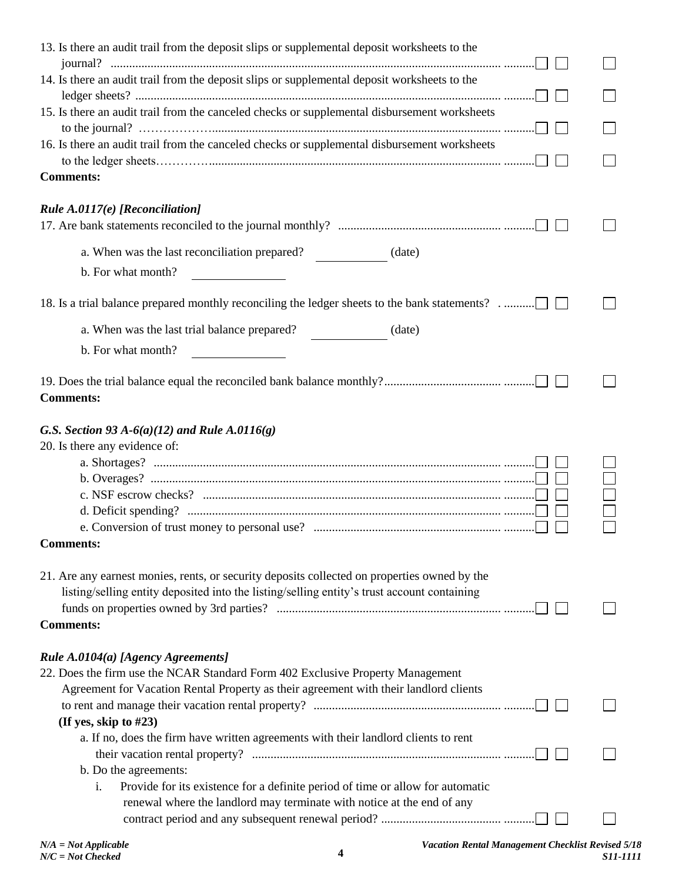| 13. Is there an audit trail from the deposit slips or supplemental deposit worksheets to the                                                                                                |  |
|---------------------------------------------------------------------------------------------------------------------------------------------------------------------------------------------|--|
| 14. Is there an audit trail from the deposit slips or supplemental deposit worksheets to the                                                                                                |  |
|                                                                                                                                                                                             |  |
| 15. Is there an audit trail from the canceled checks or supplemental disbursement worksheets                                                                                                |  |
| 16. Is there an audit trail from the canceled checks or supplemental disbursement worksheets                                                                                                |  |
|                                                                                                                                                                                             |  |
| <b>Comments:</b>                                                                                                                                                                            |  |
| Rule A.0117(e) [Reconciliation]                                                                                                                                                             |  |
|                                                                                                                                                                                             |  |
| a. When was the last reconciliation prepared? (date)                                                                                                                                        |  |
| b. For what month?                                                                                                                                                                          |  |
| 18. Is a trial balance prepared monthly reconciling the ledger sheets to the bank statements?                                                                                               |  |
| a. When was the last trial balance prepared?<br>(date)                                                                                                                                      |  |
| b. For what month?                                                                                                                                                                          |  |
| <b>Comments:</b>                                                                                                                                                                            |  |
| G.S. Section 93 A- $6(a)(12)$ and Rule A.0116(g)                                                                                                                                            |  |
| 20. Is there any evidence of:                                                                                                                                                               |  |
|                                                                                                                                                                                             |  |
|                                                                                                                                                                                             |  |
|                                                                                                                                                                                             |  |
|                                                                                                                                                                                             |  |
| <b>Comments:</b>                                                                                                                                                                            |  |
|                                                                                                                                                                                             |  |
| 21. Are any earnest monies, rents, or security deposits collected on properties owned by the<br>listing/selling entity deposited into the listing/selling entity's trust account containing |  |
|                                                                                                                                                                                             |  |
| <b>Comments:</b>                                                                                                                                                                            |  |
| Rule A.0104(a) [Agency Agreements]                                                                                                                                                          |  |
| 22. Does the firm use the NCAR Standard Form 402 Exclusive Property Management                                                                                                              |  |
| Agreement for Vacation Rental Property as their agreement with their landlord clients                                                                                                       |  |
|                                                                                                                                                                                             |  |
| (If yes, skip to #23)                                                                                                                                                                       |  |
| a. If no, does the firm have written agreements with their landlord clients to rent                                                                                                         |  |
|                                                                                                                                                                                             |  |
| b. Do the agreements:                                                                                                                                                                       |  |
| Provide for its existence for a definite period of time or allow for automatic<br>i.                                                                                                        |  |
| renewal where the landlord may terminate with notice at the end of any                                                                                                                      |  |
|                                                                                                                                                                                             |  |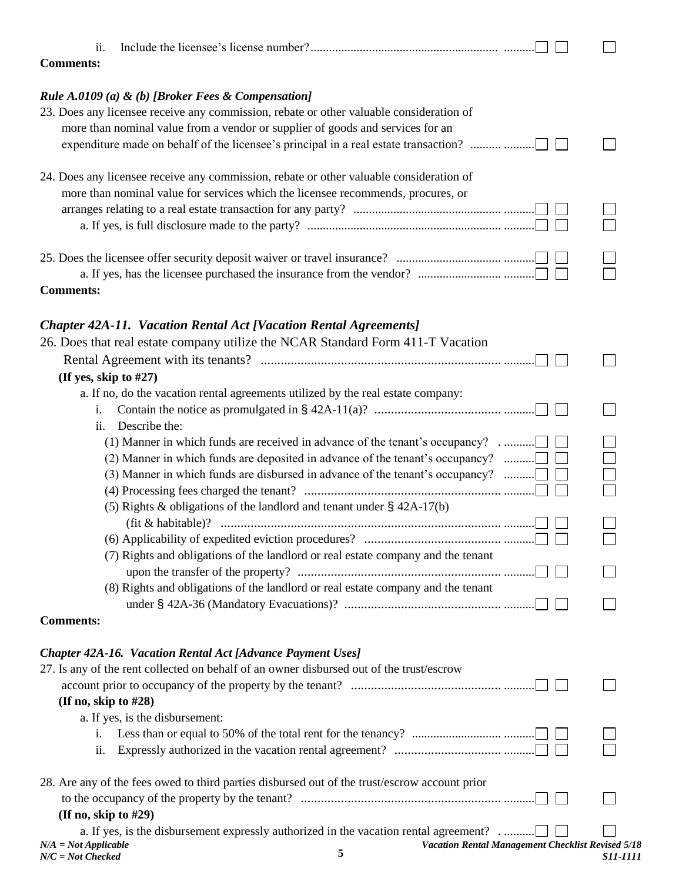| ii.<br><b>Comments:</b>                                                                                                    |                                                   |                 |
|----------------------------------------------------------------------------------------------------------------------------|---------------------------------------------------|-----------------|
| Rule A.0109 (a) & (b) [Broker Fees & Compensation]                                                                         |                                                   |                 |
| 23. Does any licensee receive any commission, rebate or other valuable consideration of                                    |                                                   |                 |
| more than nominal value from a vendor or supplier of goods and services for an                                             |                                                   |                 |
|                                                                                                                            |                                                   |                 |
|                                                                                                                            |                                                   |                 |
| 24. Does any licensee receive any commission, rebate or other valuable consideration of                                    |                                                   |                 |
| more than nominal value for services which the licensee recommends, procures, or                                           |                                                   |                 |
|                                                                                                                            |                                                   |                 |
|                                                                                                                            |                                                   |                 |
|                                                                                                                            |                                                   |                 |
|                                                                                                                            |                                                   |                 |
| a. If yes, has the licensee purchased the insurance from the vendor? $\ldots$ $\ldots$ $\ldots$ $\ldots$ $\ldots$ $\ldots$ |                                                   |                 |
| <b>Comments:</b>                                                                                                           |                                                   |                 |
|                                                                                                                            |                                                   |                 |
| <b>Chapter 42A-11. Vacation Rental Act [Vacation Rental Agreements]</b>                                                    |                                                   |                 |
| 26. Does that real estate company utilize the NCAR Standard Form 411-T Vacation                                            |                                                   |                 |
|                                                                                                                            |                                                   |                 |
| (If yes, skip to #27)                                                                                                      |                                                   |                 |
| a. If no, do the vacation rental agreements utilized by the real estate company:                                           |                                                   |                 |
| i.                                                                                                                         |                                                   |                 |
| Describe the:<br>ii.                                                                                                       |                                                   |                 |
| (1) Manner in which funds are received in advance of the tenant's occupancy?                                               |                                                   |                 |
|                                                                                                                            |                                                   |                 |
| (2) Manner in which funds are deposited in advance of the tenant's occupancy? $\dots\dots\dots\Box$                        |                                                   |                 |
| (3) Manner in which funds are disbursed in advance of the tenant's occupancy? $\dots\dots\dots\Box$                        |                                                   |                 |
|                                                                                                                            |                                                   |                 |
| (5) Rights & obligations of the landlord and tenant under $\S$ 42A-17(b)                                                   |                                                   |                 |
|                                                                                                                            |                                                   |                 |
|                                                                                                                            |                                                   |                 |
| (7) Rights and obligations of the landlord or real estate company and the tenant                                           |                                                   |                 |
|                                                                                                                            |                                                   |                 |
| (8) Rights and obligations of the landlord or real estate company and the tenant                                           |                                                   |                 |
|                                                                                                                            |                                                   |                 |
| <b>Comments:</b>                                                                                                           |                                                   |                 |
| Chapter 42A-16. Vacation Rental Act [Advance Payment Uses]                                                                 |                                                   |                 |
| 27. Is any of the rent collected on behalf of an owner disbursed out of the trust/escrow                                   |                                                   |                 |
|                                                                                                                            |                                                   |                 |
| (If no, skip to $#28$ )                                                                                                    |                                                   |                 |
| a. If yes, is the disbursement:                                                                                            |                                                   |                 |
|                                                                                                                            |                                                   |                 |
| i.<br>ii.                                                                                                                  |                                                   |                 |
|                                                                                                                            |                                                   |                 |
| 28. Are any of the fees owed to third parties disbursed out of the trust/escrow account prior                              |                                                   |                 |
|                                                                                                                            |                                                   |                 |
| (If no, skip to $#29$ )                                                                                                    |                                                   |                 |
| a. If yes, is the disbursement expressly authorized in the vacation rental agreement?                                      |                                                   |                 |
| $N/A = Not Applicable$                                                                                                     | Vacation Rental Management Checklist Revised 5/18 |                 |
| 5<br>$N/C = Not$ Checked                                                                                                   |                                                   | <i>S11-1111</i> |